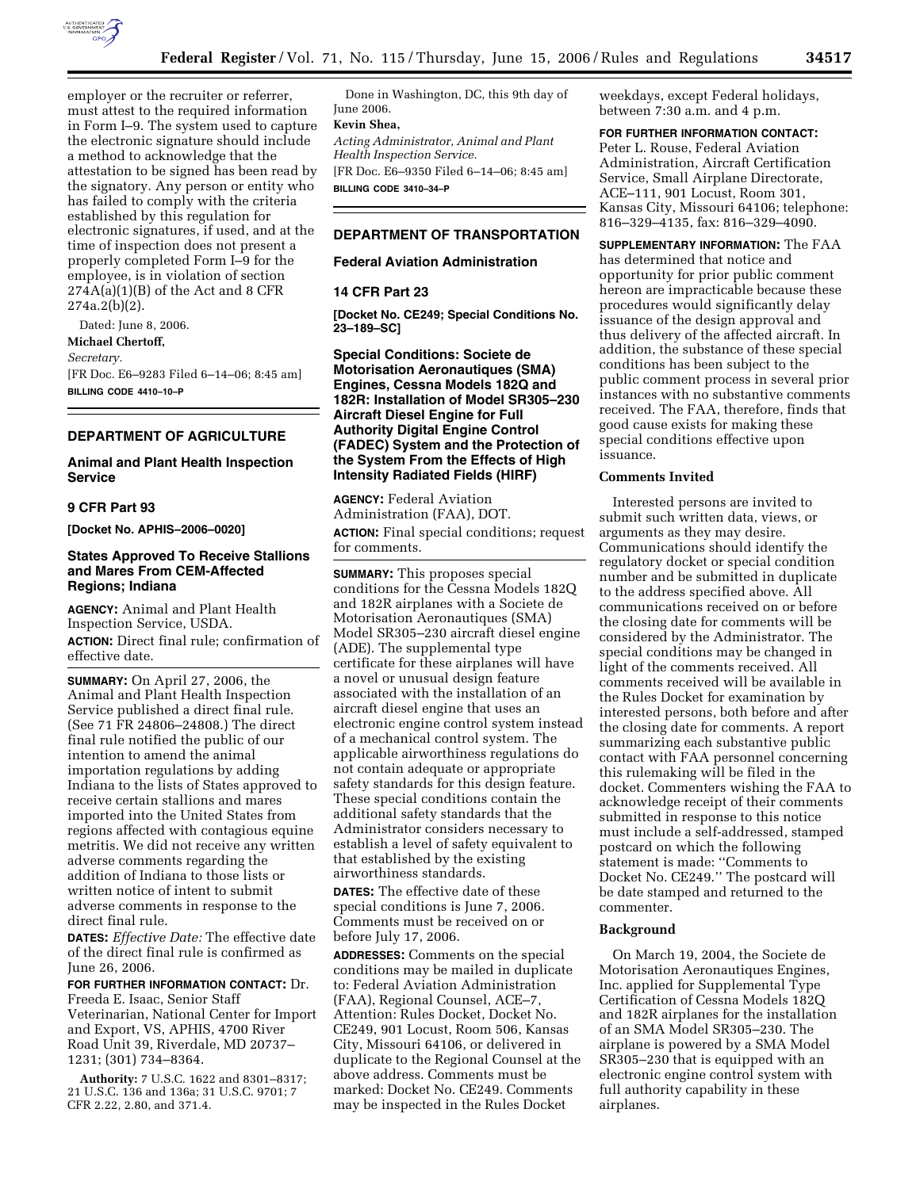

employer or the recruiter or referrer, must attest to the required information in Form I–9. The system used to capture the electronic signature should include a method to acknowledge that the attestation to be signed has been read by the signatory. Any person or entity who has failed to comply with the criteria established by this regulation for electronic signatures, if used, and at the time of inspection does not present a properly completed Form I–9 for the employee, is in violation of section  $274A(a)(1)(B)$  of the Act and 8 CFR 274a.2(b)(2).

Dated: June 8, 2006. **Michael Chertoff,** 

# *Secretary.*

[FR Doc. E6–9283 Filed 6–14–06; 8:45 am]

**BILLING CODE 4410–10–P** 

# **DEPARTMENT OF AGRICULTURE**

**Animal and Plant Health Inspection Service** 

# **9 CFR Part 93**

**[Docket No. APHIS–2006–0020]** 

# **States Approved To Receive Stallions and Mares From CEM-Affected Regions; Indiana**

**AGENCY:** Animal and Plant Health Inspection Service, USDA. **ACTION:** Direct final rule; confirmation of effective date.

**SUMMARY:** On April 27, 2006, the Animal and Plant Health Inspection Service published a direct final rule. (See 71 FR 24806–24808.) The direct final rule notified the public of our intention to amend the animal importation regulations by adding Indiana to the lists of States approved to receive certain stallions and mares imported into the United States from regions affected with contagious equine metritis. We did not receive any written adverse comments regarding the addition of Indiana to those lists or written notice of intent to submit adverse comments in response to the direct final rule.

**DATES:** *Effective Date:* The effective date of the direct final rule is confirmed as June 26, 2006.

**FOR FURTHER INFORMATION CONTACT:** Dr. Freeda E. Isaac, Senior Staff Veterinarian, National Center for Import and Export, VS, APHIS, 4700 River Road Unit 39, Riverdale, MD 20737– 1231; (301) 734–8364.

**Authority:** 7 U.S.C. 1622 and 8301–8317; 21 U.S.C. 136 and 136a; 31 U.S.C. 9701; 7 CFR 2.22, 2.80, and 371.4.

Done in Washington, DC, this 9th day of June 2006.

# **Kevin Shea,**

*Acting Administrator, Animal and Plant Health Inspection Service.* 

[FR Doc. E6–9350 Filed 6–14–06; 8:45 am] **BILLING CODE 3410–34–P** 

# **DEPARTMENT OF TRANSPORTATION**

# **Federal Aviation Administration**

#### **14 CFR Part 23**

**[Docket No. CE249; Special Conditions No. 23–189–SC]** 

**Special Conditions: Societe de Motorisation Aeronautiques (SMA) Engines, Cessna Models 182Q and 182R: Installation of Model SR305–230 Aircraft Diesel Engine for Full Authority Digital Engine Control (FADEC) System and the Protection of the System From the Effects of High Intensity Radiated Fields (HIRF)** 

**AGENCY:** Federal Aviation Administration (FAA), DOT. **ACTION:** Final special conditions; request for comments.

**SUMMARY:** This proposes special conditions for the Cessna Models 182Q and 182R airplanes with a Societe de Motorisation Aeronautiques (SMA) Model SR305–230 aircraft diesel engine (ADE). The supplemental type certificate for these airplanes will have a novel or unusual design feature associated with the installation of an aircraft diesel engine that uses an electronic engine control system instead of a mechanical control system. The applicable airworthiness regulations do not contain adequate or appropriate safety standards for this design feature. These special conditions contain the additional safety standards that the Administrator considers necessary to establish a level of safety equivalent to that established by the existing airworthiness standards.

**DATES:** The effective date of these special conditions is June 7, 2006. Comments must be received on or before July 17, 2006.

**ADDRESSES:** Comments on the special conditions may be mailed in duplicate to: Federal Aviation Administration (FAA), Regional Counsel, ACE–7, Attention: Rules Docket, Docket No. CE249, 901 Locust, Room 506, Kansas City, Missouri 64106, or delivered in duplicate to the Regional Counsel at the above address. Comments must be marked: Docket No. CE249. Comments may be inspected in the Rules Docket

weekdays, except Federal holidays, between 7:30 a.m. and 4 p.m.

# **FOR FURTHER INFORMATION CONTACT:**

Peter L. Rouse, Federal Aviation Administration, Aircraft Certification Service, Small Airplane Directorate, ACE–111, 901 Locust, Room 301, Kansas City, Missouri 64106; telephone: 816–329–4135, fax: 816–329–4090.

**SUPPLEMENTARY INFORMATION:** The FAA has determined that notice and opportunity for prior public comment hereon are impracticable because these procedures would significantly delay issuance of the design approval and thus delivery of the affected aircraft. In addition, the substance of these special conditions has been subject to the public comment process in several prior instances with no substantive comments received. The FAA, therefore, finds that good cause exists for making these special conditions effective upon issuance.

#### **Comments Invited**

Interested persons are invited to submit such written data, views, or arguments as they may desire. Communications should identify the regulatory docket or special condition number and be submitted in duplicate to the address specified above. All communications received on or before the closing date for comments will be considered by the Administrator. The special conditions may be changed in light of the comments received. All comments received will be available in the Rules Docket for examination by interested persons, both before and after the closing date for comments. A report summarizing each substantive public contact with FAA personnel concerning this rulemaking will be filed in the docket. Commenters wishing the FAA to acknowledge receipt of their comments submitted in response to this notice must include a self-addressed, stamped postcard on which the following statement is made: ''Comments to Docket No. CE249.'' The postcard will be date stamped and returned to the commenter.

### **Background**

On March 19, 2004, the Societe de Motorisation Aeronautiques Engines, Inc. applied for Supplemental Type Certification of Cessna Models 182Q and 182R airplanes for the installation of an SMA Model SR305–230. The airplane is powered by a SMA Model SR305–230 that is equipped with an electronic engine control system with full authority capability in these airplanes.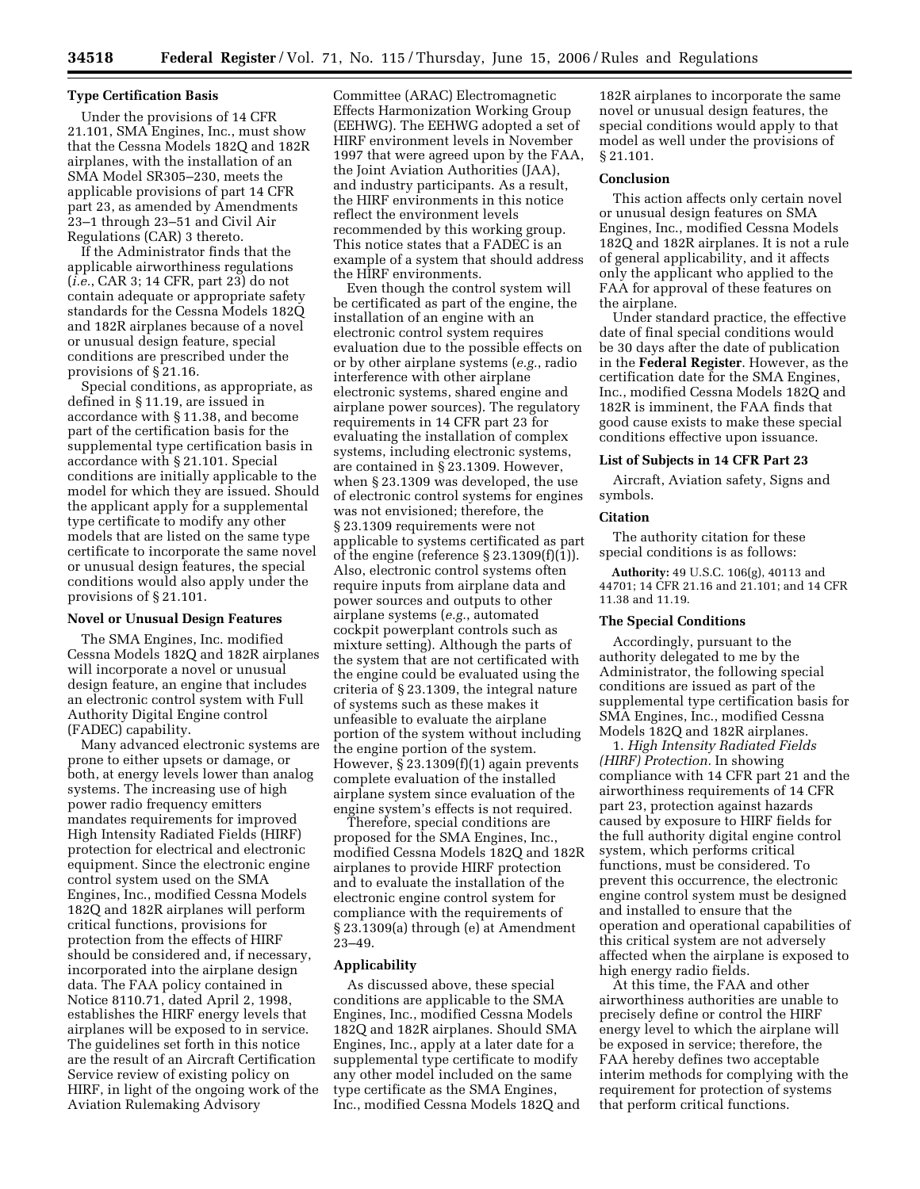### **Type Certification Basis**

Under the provisions of 14 CFR 21.101, SMA Engines, Inc., must show that the Cessna Models 182Q and 182R airplanes, with the installation of an SMA Model SR305–230, meets the applicable provisions of part 14 CFR part 23, as amended by Amendments 23–1 through 23–51 and Civil Air Regulations (CAR) 3 thereto.

If the Administrator finds that the applicable airworthiness regulations (*i.e.*, CAR 3; 14 CFR, part 23) do not contain adequate or appropriate safety standards for the Cessna Models 182Q and 182R airplanes because of a novel or unusual design feature, special conditions are prescribed under the provisions of § 21.16.

Special conditions, as appropriate, as defined in § 11.19, are issued in accordance with § 11.38, and become part of the certification basis for the supplemental type certification basis in accordance with § 21.101. Special conditions are initially applicable to the model for which they are issued. Should the applicant apply for a supplemental type certificate to modify any other models that are listed on the same type certificate to incorporate the same novel or unusual design features, the special conditions would also apply under the provisions of § 21.101.

#### **Novel or Unusual Design Features**

The SMA Engines, Inc. modified Cessna Models 182Q and 182R airplanes will incorporate a novel or unusual design feature, an engine that includes an electronic control system with Full Authority Digital Engine control (FADEC) capability.

Many advanced electronic systems are prone to either upsets or damage, or both, at energy levels lower than analog systems. The increasing use of high power radio frequency emitters mandates requirements for improved High Intensity Radiated Fields (HIRF) protection for electrical and electronic equipment. Since the electronic engine control system used on the SMA Engines, Inc., modified Cessna Models 182Q and 182R airplanes will perform critical functions, provisions for protection from the effects of HIRF should be considered and, if necessary, incorporated into the airplane design data. The FAA policy contained in Notice 8110.71, dated April 2, 1998, establishes the HIRF energy levels that airplanes will be exposed to in service. The guidelines set forth in this notice are the result of an Aircraft Certification Service review of existing policy on HIRF, in light of the ongoing work of the Aviation Rulemaking Advisory

Committee (ARAC) Electromagnetic Effects Harmonization Working Group (EEHWG). The EEHWG adopted a set of HIRF environment levels in November 1997 that were agreed upon by the FAA, the Joint Aviation Authorities (JAA), and industry participants. As a result, the HIRF environments in this notice reflect the environment levels recommended by this working group. This notice states that a FADEC is an example of a system that should address the HIRF environments.

Even though the control system will be certificated as part of the engine, the installation of an engine with an electronic control system requires evaluation due to the possible effects on or by other airplane systems (*e.g.*, radio interference with other airplane electronic systems, shared engine and airplane power sources). The regulatory requirements in 14 CFR part 23 for evaluating the installation of complex systems, including electronic systems, are contained in § 23.1309. However, when § 23.1309 was developed, the use of electronic control systems for engines was not envisioned; therefore, the § 23.1309 requirements were not applicable to systems certificated as part of the engine (reference  $\S 23.1309(f)(1)$ ). Also, electronic control systems often require inputs from airplane data and power sources and outputs to other airplane systems (*e.g.*, automated cockpit powerplant controls such as mixture setting). Although the parts of the system that are not certificated with the engine could be evaluated using the criteria of § 23.1309, the integral nature of systems such as these makes it unfeasible to evaluate the airplane portion of the system without including the engine portion of the system. However, § 23.1309(f)(1) again prevents complete evaluation of the installed airplane system since evaluation of the engine system's effects is not required.

Therefore, special conditions are proposed for the SMA Engines, Inc., modified Cessna Models 182Q and 182R airplanes to provide HIRF protection and to evaluate the installation of the electronic engine control system for compliance with the requirements of § 23.1309(a) through (e) at Amendment 23–49.

#### **Applicability**

As discussed above, these special conditions are applicable to the SMA Engines, Inc., modified Cessna Models 182Q and 182R airplanes. Should SMA Engines, Inc., apply at a later date for a supplemental type certificate to modify any other model included on the same type certificate as the SMA Engines, Inc., modified Cessna Models 182Q and

182R airplanes to incorporate the same novel or unusual design features, the special conditions would apply to that model as well under the provisions of § 21.101.

### **Conclusion**

This action affects only certain novel or unusual design features on SMA Engines, Inc., modified Cessna Models 182Q and 182R airplanes. It is not a rule of general applicability, and it affects only the applicant who applied to the FAA for approval of these features on the airplane.

Under standard practice, the effective date of final special conditions would be 30 days after the date of publication in the **Federal Register**. However, as the certification date for the SMA Engines, Inc., modified Cessna Models 182Q and 182R is imminent, the FAA finds that good cause exists to make these special conditions effective upon issuance.

# **List of Subjects in 14 CFR Part 23**

Aircraft, Aviation safety, Signs and symbols.

#### **Citation**

The authority citation for these special conditions is as follows:

**Authority:** 49 U.S.C. 106(g), 40113 and 44701; 14 CFR 21.16 and 21.101; and 14 CFR 11.38 and 11.19.

#### **The Special Conditions**

Accordingly, pursuant to the authority delegated to me by the Administrator, the following special conditions are issued as part of the supplemental type certification basis for SMA Engines, Inc., modified Cessna Models 182Q and 182R airplanes.

1. *High Intensity Radiated Fields (HIRF) Protection.* In showing compliance with 14 CFR part 21 and the airworthiness requirements of 14 CFR part 23, protection against hazards caused by exposure to HIRF fields for the full authority digital engine control system, which performs critical functions, must be considered. To prevent this occurrence, the electronic engine control system must be designed and installed to ensure that the operation and operational capabilities of this critical system are not adversely affected when the airplane is exposed to high energy radio fields.

At this time, the FAA and other airworthiness authorities are unable to precisely define or control the HIRF energy level to which the airplane will be exposed in service; therefore, the FAA hereby defines two acceptable interim methods for complying with the requirement for protection of systems that perform critical functions.